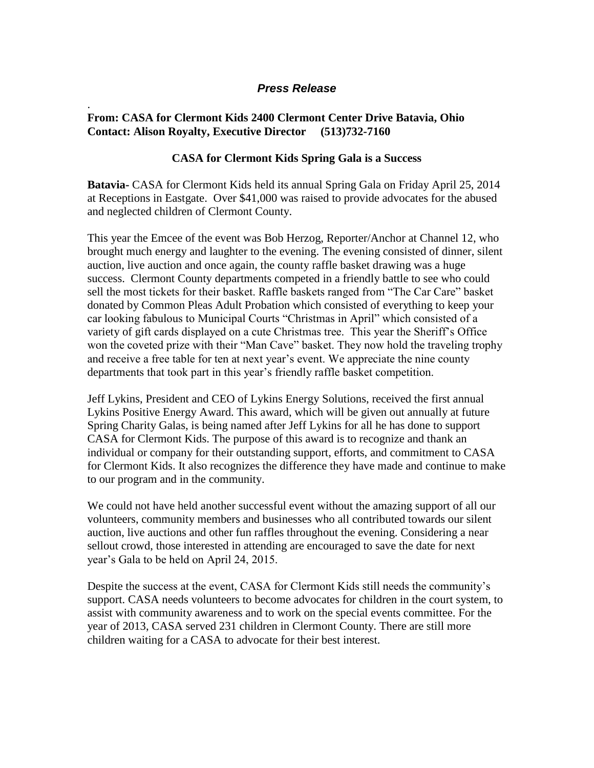## *Press Release*

## **From: CASA for Clermont Kids 2400 Clermont Center Drive Batavia, Ohio Contact: Alison Royalty, Executive Director (513)732-7160**

.

## **CASA for Clermont Kids Spring Gala is a Success**

**Batavia-** CASA for Clermont Kids held its annual Spring Gala on Friday April 25, 2014 at Receptions in Eastgate. Over \$41,000 was raised to provide advocates for the abused and neglected children of Clermont County.

This year the Emcee of the event was Bob Herzog, Reporter/Anchor at Channel 12, who brought much energy and laughter to the evening. The evening consisted of dinner, silent auction, live auction and once again, the county raffle basket drawing was a huge success. Clermont County departments competed in a friendly battle to see who could sell the most tickets for their basket. Raffle baskets ranged from "The Car Care" basket donated by Common Pleas Adult Probation which consisted of everything to keep your car looking fabulous to Municipal Courts "Christmas in April" which consisted of a variety of gift cards displayed on a cute Christmas tree. This year the Sheriff's Office won the coveted prize with their "Man Cave" basket. They now hold the traveling trophy and receive a free table for ten at next year's event. We appreciate the nine county departments that took part in this year's friendly raffle basket competition.

Jeff Lykins, President and CEO of Lykins Energy Solutions, received the first annual Lykins Positive Energy Award. This award, which will be given out annually at future Spring Charity Galas, is being named after Jeff Lykins for all he has done to support CASA for Clermont Kids. The purpose of this award is to recognize and thank an individual or company for their outstanding support, efforts, and commitment to CASA for Clermont Kids. It also recognizes the difference they have made and continue to make to our program and in the community.

We could not have held another successful event without the amazing support of all our volunteers, community members and businesses who all contributed towards our silent auction, live auctions and other fun raffles throughout the evening. Considering a near sellout crowd, those interested in attending are encouraged to save the date for next year's Gala to be held on April 24, 2015.

Despite the success at the event, CASA for Clermont Kids still needs the community's support. CASA needs volunteers to become advocates for children in the court system, to assist with community awareness and to work on the special events committee. For the year of 2013, CASA served 231 children in Clermont County. There are still more children waiting for a CASA to advocate for their best interest.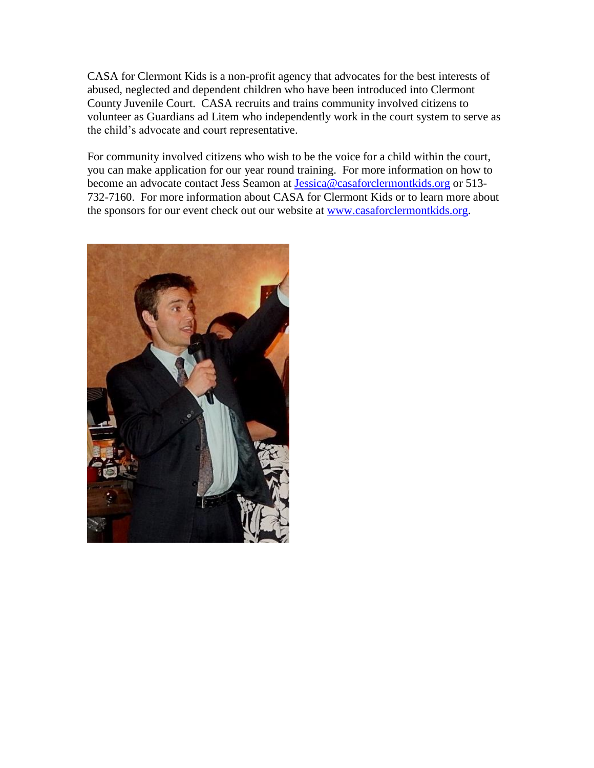CASA for Clermont Kids is a non-profit agency that advocates for the best interests of abused, neglected and dependent children who have been introduced into Clermont County Juvenile Court. CASA recruits and trains community involved citizens to volunteer as Guardians ad Litem who independently work in the court system to serve as the child's advocate and court representative.

For community involved citizens who wish to be the voice for a child within the court, you can make application for our year round training. For more information on how to become an advocate contact Jess Seamon at [Jessica@casaforclermontkids.org](mailto:Jessica@casaforclermontkids.org) or 513- 732-7160. For more information about CASA for Clermont Kids or to learn more about the sponsors for our event check out our website at [www.casaforclermontkids.org.](http://www.casaforclermontkids.org/)